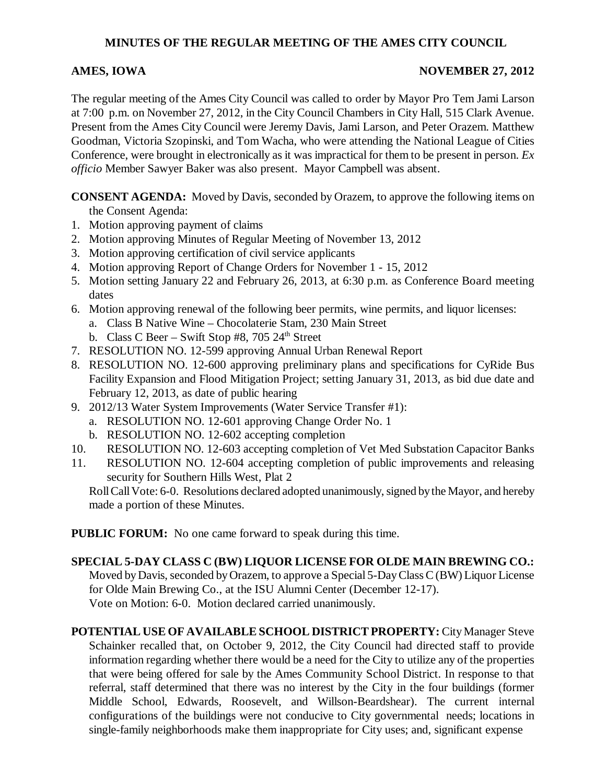## **MINUTES OF THE REGULAR MEETING OF THE AMES CITY COUNCIL**

### **AMES, IOWA** NOVEMBER 27, 2012

The regular meeting of the Ames City Council was called to order by Mayor Pro Tem Jami Larson at 7:00 p.m. on November 27, 2012, in the City Council Chambers in City Hall, 515 Clark Avenue. Present from the Ames City Council were Jeremy Davis, Jami Larson, and Peter Orazem. Matthew Goodman, Victoria Szopinski, and Tom Wacha, who were attending the National League of Cities Conference, were brought in electronically as it was impractical for them to be present in person. *Ex officio* Member Sawyer Baker was also present. Mayor Campbell was absent.

**CONSENT AGENDA:** Moved by Davis, seconded by Orazem, to approve the following items on the Consent Agenda:

- 1. Motion approving payment of claims
- 2. Motion approving Minutes of Regular Meeting of November 13, 2012
- 3. Motion approving certification of civil service applicants
- 4. Motion approving Report of Change Orders for November 1 15, 2012
- 5. Motion setting January 22 and February 26, 2013, at 6:30 p.m. as Conference Board meeting dates
- 6. Motion approving renewal of the following beer permits, wine permits, and liquor licenses:
	- a. Class B Native Wine Chocolaterie Stam, 230 Main Street
	- b. Class C Beer Swift Stop #8, 705  $24<sup>th</sup>$  Street
- 7. RESOLUTION NO. 12-599 approving Annual Urban Renewal Report
- 8. RESOLUTION NO. 12-600 approving preliminary plans and specifications for CyRide Bus Facility Expansion and Flood Mitigation Project; setting January 31, 2013, as bid due date and February 12, 2013, as date of public hearing
- 9. 2012/13 Water System Improvements (Water Service Transfer #1):
	- a. RESOLUTION NO. 12-601 approving Change Order No. 1
	- b. RESOLUTION NO. 12-602 accepting completion
- 10. RESOLUTION NO. 12-603 accepting completion of Vet Med Substation Capacitor Banks
- 11. RESOLUTION NO. 12-604 accepting completion of public improvements and releasing security for Southern Hills West, Plat 2

Roll Call Vote: 6-0. Resolutions declared adopted unanimously, signed by the Mayor, and hereby made a portion of these Minutes.

**PUBLIC FORUM:** No one came forward to speak during this time.

**SPECIAL 5-DAY CLASS C (BW) LIQUOR LICENSE FOR OLDE MAIN BREWING CO.:**

Moved by Davis, seconded by Orazem, to approve a Special 5-Day Class C (BW) Liquor License for Olde Main Brewing Co., at the ISU Alumni Center (December 12-17). Vote on Motion: 6-0. Motion declared carried unanimously.

**POTENTIAL USE OF AVAILABLE SCHOOL DISTRICT PROPERTY:** City Manager Steve Schainker recalled that, on October 9, 2012, the City Council had directed staff to provide information regarding whether there would be a need for the City to utilize any of the properties that were being offered for sale by the Ames Community School District. In response to that referral, staff determined that there was no interest by the City in the four buildings (former Middle School, Edwards, Roosevelt, and Willson-Beardshear). The current internal configurations of the buildings were not conducive to City governmental needs; locations in single-family neighborhoods make them inappropriate for City uses; and, significant expense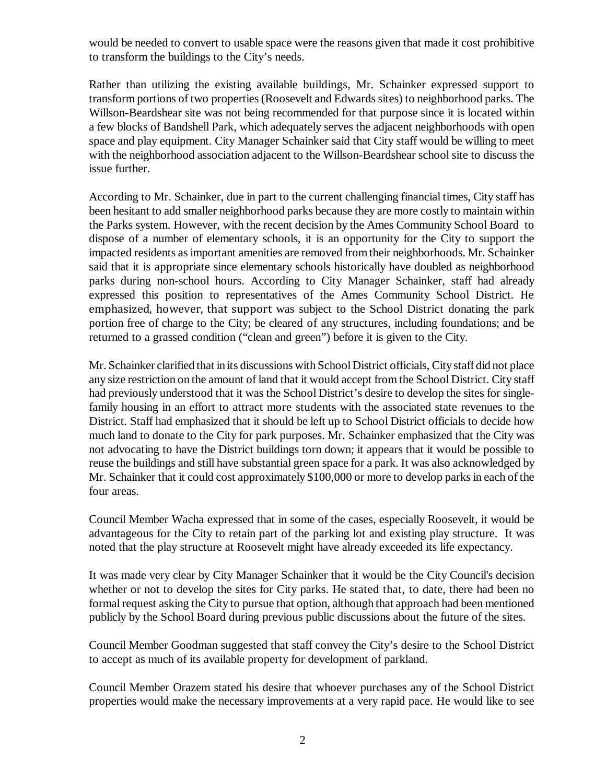would be needed to convert to usable space were the reasons given that made it cost prohibitive to transform the buildings to the City's needs.

Rather than utilizing the existing available buildings, Mr. Schainker expressed support to transform portions of two properties (Roosevelt and Edwards sites) to neighborhood parks. The Willson-Beardshear site was not being recommended for that purpose since it is located within a few blocks of Bandshell Park, which adequately serves the adjacent neighborhoods with open space and play equipment. City Manager Schainker said that City staff would be willing to meet with the neighborhood association adjacent to the Willson-Beardshear school site to discuss the issue further.

According to Mr. Schainker, due in part to the current challenging financial times, City staff has been hesitant to add smaller neighborhood parks because they are more costly to maintain within the Parks system. However, with the recent decision by the Ames Community School Board to dispose of a number of elementary schools, it is an opportunity for the City to support the impacted residents as important amenities are removed from their neighborhoods. Mr. Schainker said that it is appropriate since elementary schools historically have doubled as neighborhood parks during non-school hours. According to City Manager Schainker, staff had already expressed this position to representatives of the Ames Community School District. He emphasized, however, that support was subject to the School District donating the park portion free of charge to the City; be cleared of any structures, including foundations; and be returned to a grassed condition ("clean and green") before it is given to the City.

Mr. Schainker clarified that in its discussions with School District officials, City staff did not place any size restriction on the amount of land that it would accept from the School District. City staff had previously understood that it was the School District's desire to develop the sites for singlefamily housing in an effort to attract more students with the associated state revenues to the District. Staff had emphasized that it should be left up to School District officials to decide how much land to donate to the City for park purposes. Mr. Schainker emphasized that the City was not advocating to have the District buildings torn down; it appears that it would be possible to reuse the buildings and still have substantial green space for a park. It was also acknowledged by Mr. Schainker that it could cost approximately \$100,000 or more to develop parks in each of the four areas.

Council Member Wacha expressed that in some of the cases, especially Roosevelt, it would be advantageous for the City to retain part of the parking lot and existing play structure. It was noted that the play structure at Roosevelt might have already exceeded its life expectancy.

It was made very clear by City Manager Schainker that it would be the City Council's decision whether or not to develop the sites for City parks. He stated that, to date, there had been no formal request asking the City to pursue that option, although that approach had been mentioned publicly by the School Board during previous public discussions about the future of the sites.

Council Member Goodman suggested that staff convey the City's desire to the School District to accept as much of its available property for development of parkland.

Council Member Orazem stated his desire that whoever purchases any of the School District properties would make the necessary improvements at a very rapid pace. He would like to see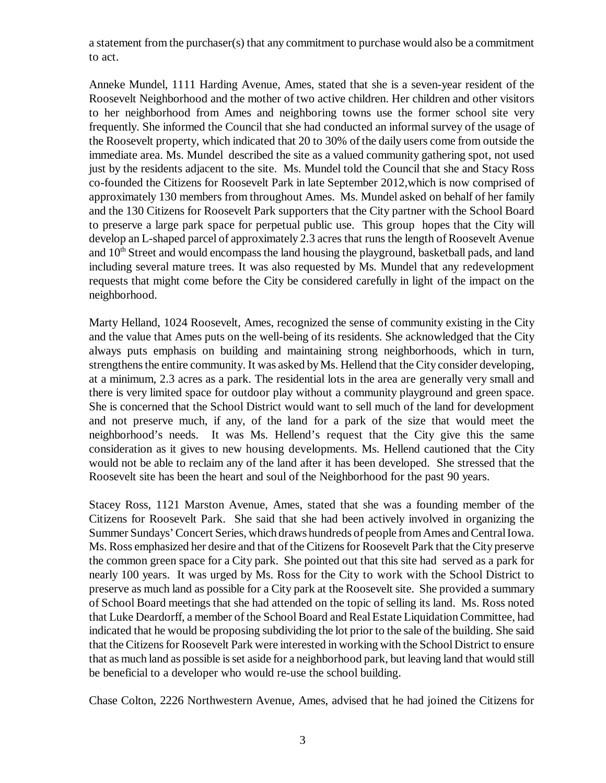a statement from the purchaser(s) that any commitment to purchase would also be a commitment to act.

Anneke Mundel, 1111 Harding Avenue, Ames, stated that she is a seven-year resident of the Roosevelt Neighborhood and the mother of two active children. Her children and other visitors to her neighborhood from Ames and neighboring towns use the former school site very frequently. She informed the Council that she had conducted an informal survey of the usage of the Roosevelt property, which indicated that 20 to 30% of the daily users come from outside the immediate area. Ms. Mundel described the site as a valued community gathering spot, not used just by the residents adjacent to the site. Ms. Mundel told the Council that she and Stacy Ross co-founded the Citizens for Roosevelt Park in late September 2012,which is now comprised of approximately 130 members from throughout Ames. Ms. Mundel asked on behalf of her family and the 130 Citizens for Roosevelt Park supporters that the City partner with the School Board to preserve a large park space for perpetual public use. This group hopes that the City will develop an L-shaped parcel of approximately 2.3 acres that runs the length of Roosevelt Avenue and  $10<sup>th</sup>$  Street and would encompass the land housing the playground, basketball pads, and land including several mature trees. It was also requested by Ms. Mundel that any redevelopment requests that might come before the City be considered carefully in light of the impact on the neighborhood.

Marty Helland, 1024 Roosevelt, Ames, recognized the sense of community existing in the City and the value that Ames puts on the well-being of its residents. She acknowledged that the City always puts emphasis on building and maintaining strong neighborhoods, which in turn, strengthens the entire community. It was asked by Ms. Hellend that the City consider developing, at a minimum, 2.3 acres as a park. The residential lots in the area are generally very small and there is very limited space for outdoor play without a community playground and green space. She is concerned that the School District would want to sell much of the land for development and not preserve much, if any, of the land for a park of the size that would meet the neighborhood's needs. It was Ms. Hellend's request that the City give this the same consideration as it gives to new housing developments. Ms. Hellend cautioned that the City would not be able to reclaim any of the land after it has been developed. She stressed that the Roosevelt site has been the heart and soul of the Neighborhood for the past 90 years.

Stacey Ross, 1121 Marston Avenue, Ames, stated that she was a founding member of the Citizens for Roosevelt Park. She said that she had been actively involved in organizing the Summer Sundays' Concert Series, which draws hundreds of people from Ames and Central Iowa. Ms. Ross emphasized her desire and that of the Citizens for Roosevelt Park that the City preserve the common green space for a City park. She pointed out that this site had served as a park for nearly 100 years. It was urged by Ms. Ross for the City to work with the School District to preserve as much land as possible for a City park at the Roosevelt site. She provided a summary of School Board meetings that she had attended on the topic of selling its land. Ms. Ross noted that Luke Deardorff, a member of the School Board and Real Estate Liquidation Committee, had indicated that he would be proposing subdividing the lot prior to the sale of the building. She said that the Citizens for Roosevelt Park were interested in working with the School District to ensure that as much land as possible is set aside for a neighborhood park, but leaving land that would still be beneficial to a developer who would re-use the school building.

Chase Colton, 2226 Northwestern Avenue, Ames, advised that he had joined the Citizens for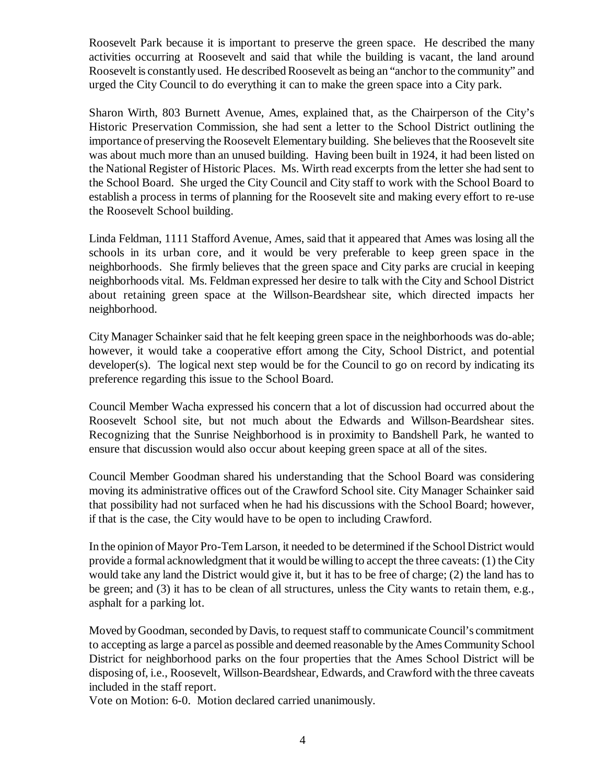Roosevelt Park because it is important to preserve the green space. He described the many activities occurring at Roosevelt and said that while the building is vacant, the land around Roosevelt is constantly used. He described Roosevelt as being an "anchor to the community" and urged the City Council to do everything it can to make the green space into a City park.

Sharon Wirth, 803 Burnett Avenue, Ames, explained that, as the Chairperson of the City's Historic Preservation Commission, she had sent a letter to the School District outlining the importance of preserving the Roosevelt Elementary building. She believes that the Roosevelt site was about much more than an unused building. Having been built in 1924, it had been listed on the National Register of Historic Places. Ms. Wirth read excerpts from the letter she had sent to the School Board. She urged the City Council and City staff to work with the School Board to establish a process in terms of planning for the Roosevelt site and making every effort to re-use the Roosevelt School building.

Linda Feldman, 1111 Stafford Avenue, Ames, said that it appeared that Ames was losing all the schools in its urban core, and it would be very preferable to keep green space in the neighborhoods. She firmly believes that the green space and City parks are crucial in keeping neighborhoods vital. Ms. Feldman expressed her desire to talk with the City and School District about retaining green space at the Willson-Beardshear site, which directed impacts her neighborhood.

City Manager Schainker said that he felt keeping green space in the neighborhoods was do-able; however, it would take a cooperative effort among the City, School District, and potential developer(s). The logical next step would be for the Council to go on record by indicating its preference regarding this issue to the School Board.

Council Member Wacha expressed his concern that a lot of discussion had occurred about the Roosevelt School site, but not much about the Edwards and Willson-Beardshear sites. Recognizing that the Sunrise Neighborhood is in proximity to Bandshell Park, he wanted to ensure that discussion would also occur about keeping green space at all of the sites.

Council Member Goodman shared his understanding that the School Board was considering moving its administrative offices out of the Crawford School site. City Manager Schainker said that possibility had not surfaced when he had his discussions with the School Board; however, if that is the case, the City would have to be open to including Crawford.

In the opinion of Mayor Pro-Tem Larson, it needed to be determined if the School District would provide a formal acknowledgment that it would be willing to accept the three caveats: (1) the City would take any land the District would give it, but it has to be free of charge; (2) the land has to be green; and (3) it has to be clean of all structures, unless the City wants to retain them, e.g., asphalt for a parking lot.

Moved by Goodman, seconded by Davis, to request staff to communicate Council's commitment to accepting as large a parcel as possible and deemed reasonable by the Ames Community School District for neighborhood parks on the four properties that the Ames School District will be disposing of, i.e., Roosevelt, Willson-Beardshear, Edwards, and Crawford with the three caveats included in the staff report.

Vote on Motion: 6-0. Motion declared carried unanimously.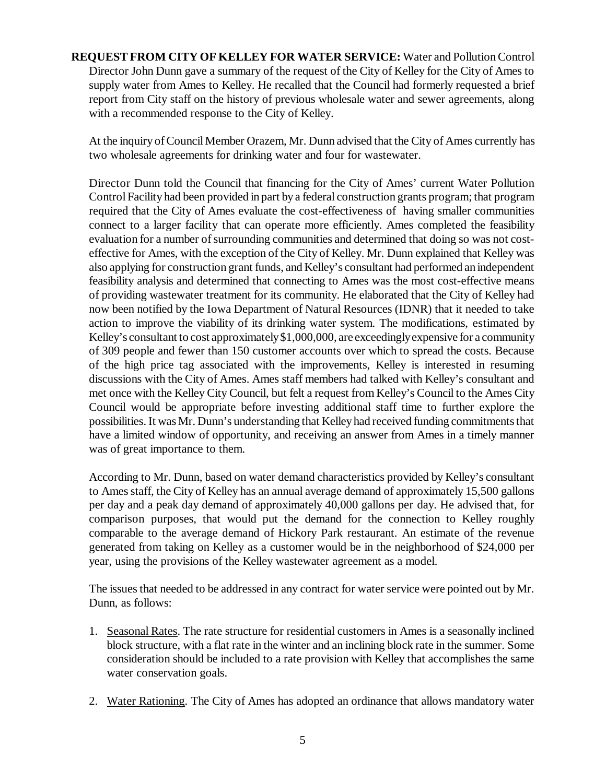**REQUEST FROM CITY OF KELLEY FOR WATER SERVICE:** Water and Pollution Control Director John Dunn gave a summary of the request of the City of Kelley for the City of Ames to supply water from Ames to Kelley. He recalled that the Council had formerly requested a brief report from City staff on the history of previous wholesale water and sewer agreements, along with a recommended response to the City of Kelley.

 At the inquiry of Council Member Orazem, Mr. Dunn advised that the City of Ames currently has two wholesale agreements for drinking water and four for wastewater.

Director Dunn told the Council that financing for the City of Ames' current Water Pollution Control Facility had been provided in part by a federal construction grants program; that program required that the City of Ames evaluate the cost-effectiveness of having smaller communities connect to a larger facility that can operate more efficiently. Ames completed the feasibility evaluation for a number of surrounding communities and determined that doing so was not costeffective for Ames, with the exception of the City of Kelley. Mr. Dunn explained that Kelley was also applying for construction grant funds, and Kelley's consultant had performed an independent feasibility analysis and determined that connecting to Ames was the most cost-effective means of providing wastewater treatment for its community. He elaborated that the City of Kelley had now been notified by the Iowa Department of Natural Resources (IDNR) that it needed to take action to improve the viability of its drinking water system. The modifications, estimated by Kelley's consultant to cost approximately \$1,000,000, are exceedingly expensive for a community of 309 people and fewer than 150 customer accounts over which to spread the costs. Because of the high price tag associated with the improvements, Kelley is interested in resuming discussions with the City of Ames. Ames staff members had talked with Kelley's consultant and met once with the Kelley City Council, but felt a request from Kelley's Council to the Ames City Council would be appropriate before investing additional staff time to further explore the possibilities. It was Mr. Dunn's understanding that Kelley had received funding commitments that have a limited window of opportunity, and receiving an answer from Ames in a timely manner was of great importance to them.

According to Mr. Dunn, based on water demand characteristics provided by Kelley's consultant to Ames staff, the City of Kelley has an annual average demand of approximately 15,500 gallons per day and a peak day demand of approximately 40,000 gallons per day. He advised that, for comparison purposes, that would put the demand for the connection to Kelley roughly comparable to the average demand of Hickory Park restaurant. An estimate of the revenue generated from taking on Kelley as a customer would be in the neighborhood of \$24,000 per year, using the provisions of the Kelley wastewater agreement as a model.

The issues that needed to be addressed in any contract for water service were pointed out by Mr. Dunn, as follows:

- 1. Seasonal Rates. The rate structure for residential customers in Ames is a seasonally inclined block structure, with a flat rate in the winter and an inclining block rate in the summer. Some consideration should be included to a rate provision with Kelley that accomplishes the same water conservation goals.
- 2. Water Rationing. The City of Ames has adopted an ordinance that allows mandatory water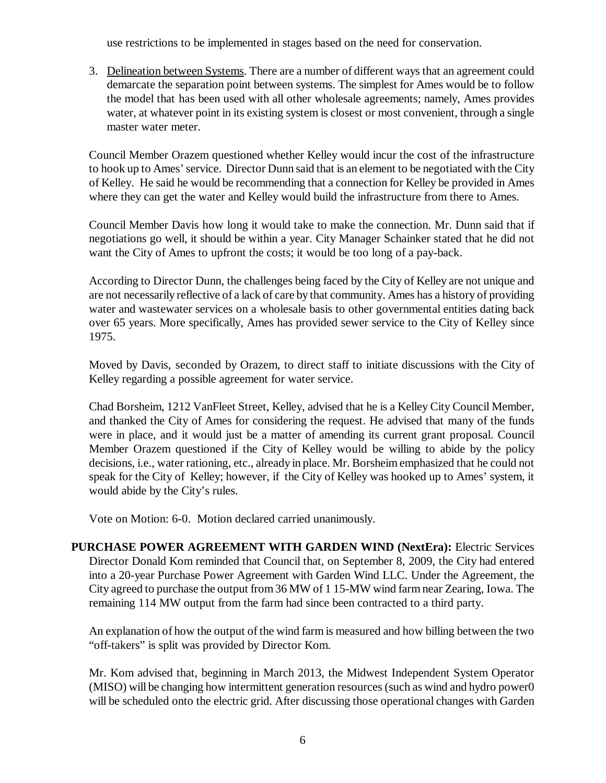use restrictions to be implemented in stages based on the need for conservation.

3. Delineation between Systems. There are a number of different ways that an agreement could demarcate the separation point between systems. The simplest for Ames would be to follow the model that has been used with all other wholesale agreements; namely, Ames provides water, at whatever point in its existing system is closest or most convenient, through a single master water meter.

Council Member Orazem questioned whether Kelley would incur the cost of the infrastructure to hook up to Ames' service. Director Dunn said that is an element to be negotiated with the City of Kelley. He said he would be recommending that a connection for Kelley be provided in Ames where they can get the water and Kelley would build the infrastructure from there to Ames.

Council Member Davis how long it would take to make the connection. Mr. Dunn said that if negotiations go well, it should be within a year. City Manager Schainker stated that he did not want the City of Ames to upfront the costs; it would be too long of a pay-back.

According to Director Dunn, the challenges being faced by the City of Kelley are not unique and are not necessarily reflective of a lack of care by that community. Ames has a history of providing water and wastewater services on a wholesale basis to other governmental entities dating back over 65 years. More specifically, Ames has provided sewer service to the City of Kelley since 1975.

Moved by Davis, seconded by Orazem, to direct staff to initiate discussions with the City of Kelley regarding a possible agreement for water service.

Chad Borsheim, 1212 VanFleet Street, Kelley, advised that he is a Kelley City Council Member, and thanked the City of Ames for considering the request. He advised that many of the funds were in place, and it would just be a matter of amending its current grant proposal. Council Member Orazem questioned if the City of Kelley would be willing to abide by the policy decisions, i.e., water rationing, etc., already in place. Mr. Borsheim emphasized that he could not speak for the City of Kelley; however, if the City of Kelley was hooked up to Ames' system, it would abide by the City's rules.

Vote on Motion: 6-0. Motion declared carried unanimously.

**PURCHASE POWER AGREEMENT WITH GARDEN WIND (NextEra):** Electric Services Director Donald Kom reminded that Council that, on September 8, 2009, the City had entered into a 20-year Purchase Power Agreement with Garden Wind LLC. Under the Agreement, the City agreed to purchase the output from 36 MW of 1 15-MW wind farm near Zearing, Iowa. The remaining 114 MW output from the farm had since been contracted to a third party.

An explanation of how the output of the wind farm is measured and how billing between the two "off-takers" is split was provided by Director Kom.

Mr. Kom advised that, beginning in March 2013, the Midwest Independent System Operator (MISO) will be changing how intermittent generation resources (such as wind and hydro power0 will be scheduled onto the electric grid. After discussing those operational changes with Garden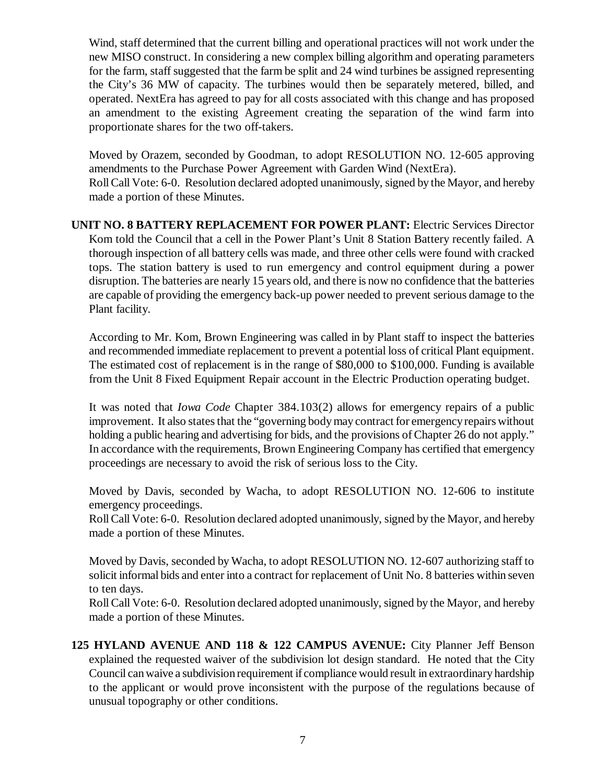Wind, staff determined that the current billing and operational practices will not work under the new MISO construct. In considering a new complex billing algorithm and operating parameters for the farm, staff suggested that the farm be split and 24 wind turbines be assigned representing the City's 36 MW of capacity. The turbines would then be separately metered, billed, and operated. NextEra has agreed to pay for all costs associated with this change and has proposed an amendment to the existing Agreement creating the separation of the wind farm into proportionate shares for the two off-takers.

Moved by Orazem, seconded by Goodman, to adopt RESOLUTION NO. 12-605 approving amendments to the Purchase Power Agreement with Garden Wind (NextEra). Roll Call Vote: 6-0. Resolution declared adopted unanimously, signed by the Mayor, and hereby made a portion of these Minutes.

**UNIT NO. 8 BATTERY REPLACEMENT FOR POWER PLANT:** Electric Services Director Kom told the Council that a cell in the Power Plant's Unit 8 Station Battery recently failed. A thorough inspection of all battery cells was made, and three other cells were found with cracked tops. The station battery is used to run emergency and control equipment during a power disruption. The batteries are nearly 15 years old, and there is now no confidence that the batteries are capable of providing the emergency back-up power needed to prevent serious damage to the Plant facility.

According to Mr. Kom, Brown Engineering was called in by Plant staff to inspect the batteries and recommended immediate replacement to prevent a potential loss of critical Plant equipment. The estimated cost of replacement is in the range of \$80,000 to \$100,000. Funding is available from the Unit 8 Fixed Equipment Repair account in the Electric Production operating budget.

It was noted that *Iowa Code* Chapter 384.103(2) allows for emergency repairs of a public improvement. It also states that the "governing body may contract for emergency repairs without holding a public hearing and advertising for bids, and the provisions of Chapter 26 do not apply." In accordance with the requirements, Brown Engineering Company has certified that emergency proceedings are necessary to avoid the risk of serious loss to the City.

Moved by Davis, seconded by Wacha, to adopt RESOLUTION NO. 12-606 to institute emergency proceedings.

Roll Call Vote: 6-0. Resolution declared adopted unanimously, signed by the Mayor, and hereby made a portion of these Minutes.

Moved by Davis, seconded by Wacha, to adopt RESOLUTION NO. 12-607 authorizing staff to solicit informal bids and enter into a contract for replacement of Unit No. 8 batteries within seven to ten days.

Roll Call Vote: 6-0. Resolution declared adopted unanimously, signed by the Mayor, and hereby made a portion of these Minutes.

**125 HYLAND AVENUE AND 118 & 122 CAMPUS AVENUE:** City Planner Jeff Benson explained the requested waiver of the subdivision lot design standard. He noted that the City Council can waive a subdivision requirement if compliance would result in extraordinary hardship to the applicant or would prove inconsistent with the purpose of the regulations because of unusual topography or other conditions.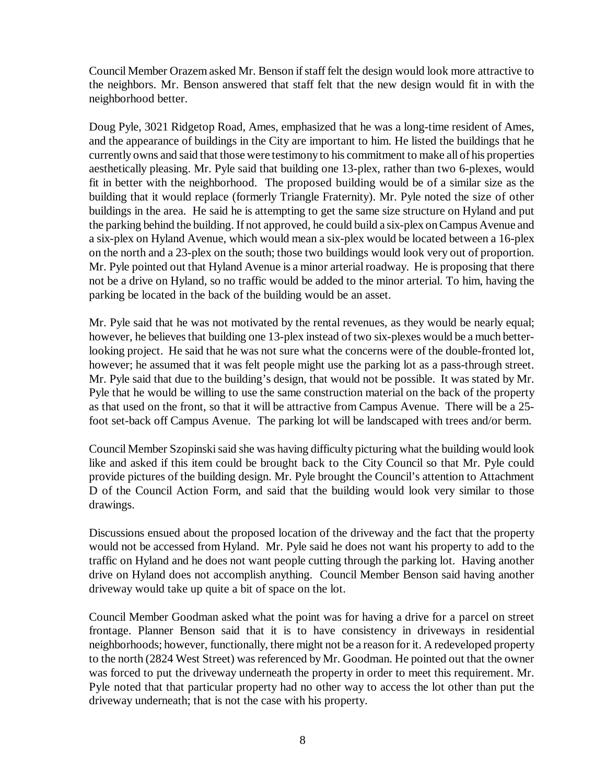Council Member Orazem asked Mr. Benson if staff felt the design would look more attractive to the neighbors. Mr. Benson answered that staff felt that the new design would fit in with the neighborhood better.

Doug Pyle, 3021 Ridgetop Road, Ames, emphasized that he was a long-time resident of Ames, and the appearance of buildings in the City are important to him. He listed the buildings that he currently owns and said that those were testimony to his commitment to make all of his properties aesthetically pleasing. Mr. Pyle said that building one 13-plex, rather than two 6-plexes, would fit in better with the neighborhood. The proposed building would be of a similar size as the building that it would replace (formerly Triangle Fraternity). Mr. Pyle noted the size of other buildings in the area. He said he is attempting to get the same size structure on Hyland and put the parking behind the building. If not approved, he could build a six-plex on Campus Avenue and a six-plex on Hyland Avenue, which would mean a six-plex would be located between a 16-plex on the north and a 23-plex on the south; those two buildings would look very out of proportion. Mr. Pyle pointed out that Hyland Avenue is a minor arterial roadway. He is proposing that there not be a drive on Hyland, so no traffic would be added to the minor arterial. To him, having the parking be located in the back of the building would be an asset.

Mr. Pyle said that he was not motivated by the rental revenues, as they would be nearly equal; however, he believes that building one 13-plex instead of two six-plexes would be a much betterlooking project. He said that he was not sure what the concerns were of the double-fronted lot, however; he assumed that it was felt people might use the parking lot as a pass-through street. Mr. Pyle said that due to the building's design, that would not be possible. It was stated by Mr. Pyle that he would be willing to use the same construction material on the back of the property as that used on the front, so that it will be attractive from Campus Avenue. There will be a 25 foot set-back off Campus Avenue. The parking lot will be landscaped with trees and/or berm.

Council Member Szopinski said she was having difficulty picturing what the building would look like and asked if this item could be brought back to the City Council so that Mr. Pyle could provide pictures of the building design. Mr. Pyle brought the Council's attention to Attachment D of the Council Action Form, and said that the building would look very similar to those drawings.

Discussions ensued about the proposed location of the driveway and the fact that the property would not be accessed from Hyland. Mr. Pyle said he does not want his property to add to the traffic on Hyland and he does not want people cutting through the parking lot. Having another drive on Hyland does not accomplish anything. Council Member Benson said having another driveway would take up quite a bit of space on the lot.

Council Member Goodman asked what the point was for having a drive for a parcel on street frontage. Planner Benson said that it is to have consistency in driveways in residential neighborhoods; however, functionally, there might not be a reason for it. A redeveloped property to the north (2824 West Street) was referenced by Mr. Goodman. He pointed out that the owner was forced to put the driveway underneath the property in order to meet this requirement. Mr. Pyle noted that that particular property had no other way to access the lot other than put the driveway underneath; that is not the case with his property.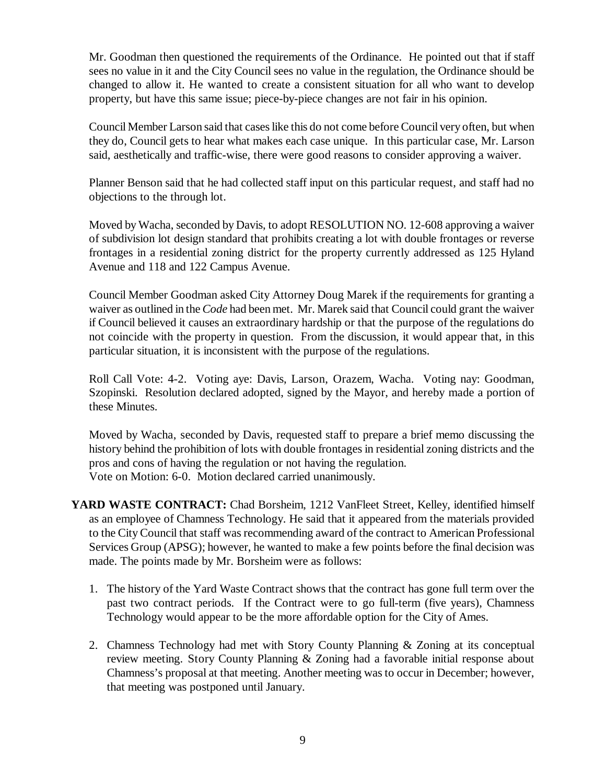Mr. Goodman then questioned the requirements of the Ordinance. He pointed out that if staff sees no value in it and the City Council sees no value in the regulation, the Ordinance should be changed to allow it. He wanted to create a consistent situation for all who want to develop property, but have this same issue; piece-by-piece changes are not fair in his opinion.

Council Member Larson said that cases like this do not come before Council very often, but when they do, Council gets to hear what makes each case unique. In this particular case, Mr. Larson said, aesthetically and traffic-wise, there were good reasons to consider approving a waiver.

Planner Benson said that he had collected staff input on this particular request, and staff had no objections to the through lot.

Moved by Wacha, seconded by Davis, to adopt RESOLUTION NO. 12-608 approving a waiver of subdivision lot design standard that prohibits creating a lot with double frontages or reverse frontages in a residential zoning district for the property currently addressed as 125 Hyland Avenue and 118 and 122 Campus Avenue.

Council Member Goodman asked City Attorney Doug Marek if the requirements for granting a waiver as outlined in the *Code* had been met. Mr. Marek said that Council could grant the waiver if Council believed it causes an extraordinary hardship or that the purpose of the regulations do not coincide with the property in question. From the discussion, it would appear that, in this particular situation, it is inconsistent with the purpose of the regulations.

Roll Call Vote: 4-2. Voting aye: Davis, Larson, Orazem, Wacha. Voting nay: Goodman, Szopinski. Resolution declared adopted, signed by the Mayor, and hereby made a portion of these Minutes.

Moved by Wacha, seconded by Davis, requested staff to prepare a brief memo discussing the history behind the prohibition of lots with double frontages in residential zoning districts and the pros and cons of having the regulation or not having the regulation. Vote on Motion: 6-0. Motion declared carried unanimously.

- YARD WASTE CONTRACT: Chad Borsheim, 1212 VanFleet Street, Kelley, identified himself as an employee of Chamness Technology. He said that it appeared from the materials provided to the City Council that staff was recommending award of the contract to American Professional Services Group (APSG); however, he wanted to make a few points before the final decision was made. The points made by Mr. Borsheim were as follows:
	- 1. The history of the Yard Waste Contract shows that the contract has gone full term over the past two contract periods. If the Contract were to go full-term (five years), Chamness Technology would appear to be the more affordable option for the City of Ames.
	- 2. Chamness Technology had met with Story County Planning & Zoning at its conceptual review meeting. Story County Planning & Zoning had a favorable initial response about Chamness's proposal at that meeting. Another meeting was to occur in December; however, that meeting was postponed until January.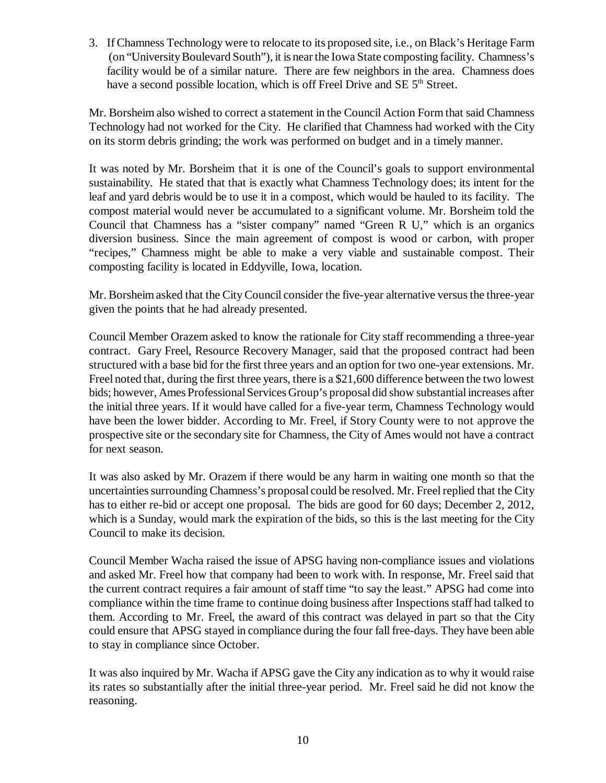3. If Chamness Technology were to relocate to its proposed site, i.e., on Black's Heritage Farm (on "University Boulevard South"), it is near the Iowa State composting facility. Chamness's facility would be of a similar nature. There are few neighbors in the area. Chamness does have a second possible location, which is off Freel Drive and SE  $5<sup>th</sup>$  Street.

Mr. Borsheim also wished to correct a statement in the Council Action Form that said Chamness Technology had not worked for the City. He clarified that Chamness had worked with the City on its storm debris grinding; the work was performed on budget and in a timely manner.

It was noted by Mr. Borsheim that it is one of the Council's goals to support environmental sustainability. He stated that that is exactly what Chamness Technology does; its intent for the leaf and yard debris would be to use it in a compost, which would be hauled to its facility. The compost material would never be accumulated to a significant volume. Mr. Borsheim told the Council that Chamness has a "sister company" named "Green R U," which is an organics diversion business. Since the main agreement of compost is wood or carbon, with proper "recipes," Chamness might be able to make a very viable and sustainable compost. Their composting facility is located in Eddyville, Iowa, location.

Mr. Borsheim asked that the City Council consider the five-year alternative versus the three-year given the points that he had already presented.

Council Member Orazem asked to know the rationale for City staff recommending a three-year contract. Gary Freel, Resource Recovery Manager, said that the proposed contract had been structured with a base bid for the first three years and an option for two one-year extensions. Mr. Freel noted that, during the first three years, there is a \$21,600 difference between the two lowest bids; however, Ames Professional Services Group's proposal did show substantial increases after the initial three years. If it would have called for a five-year term, Chamness Technology would have been the lower bidder. According to Mr. Freel, if Story County were to not approve the prospective site or the secondary site for Chamness, the City of Ames would not have a contract for next season.

It was also asked by Mr. Orazem if there would be any harm in waiting one month so that the uncertainties surrounding Chamness's proposal could be resolved. Mr. Freel replied that the City has to either re-bid or accept one proposal. The bids are good for 60 days; December 2, 2012, which is a Sunday, would mark the expiration of the bids, so this is the last meeting for the City Council to make its decision.

Council Member Wacha raised the issue of APSG having non-compliance issues and violations and asked Mr. Freel how that company had been to work with. In response, Mr. Freel said that the current contract requires a fair amount of staff time "to say the least." APSG had come into compliance within the time frame to continue doing business after Inspections staff had talked to them. According to Mr. Freel, the award of this contract was delayed in part so that the City could ensure that APSG stayed in compliance during the four fall free-days. They have been able to stay in compliance since October.

It was also inquired by Mr. Wacha if APSG gave the City any indication as to why it would raise its rates so substantially after the initial three-year period. Mr. Freel said he did not know the reasoning.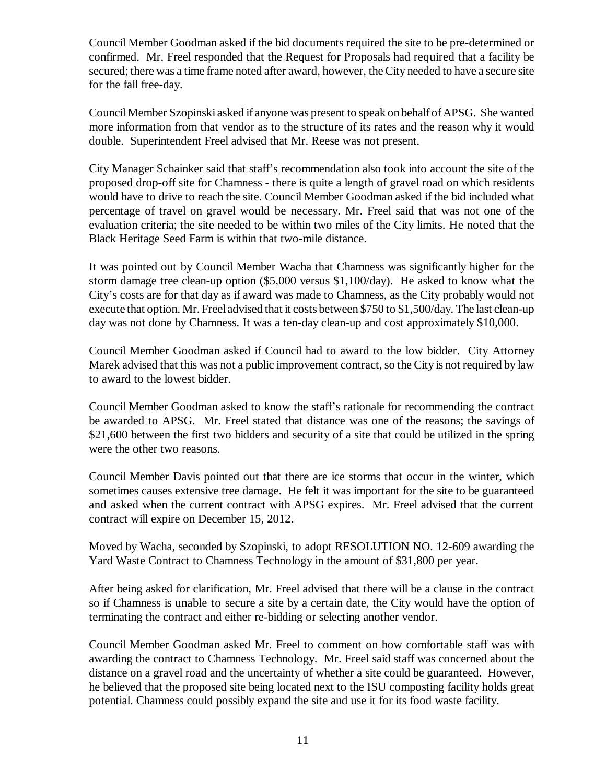Council Member Goodman asked if the bid documents required the site to be pre-determined or confirmed. Mr. Freel responded that the Request for Proposals had required that a facility be secured; there was a time frame noted after award, however, the City needed to have a secure site for the fall free-day.

Council Member Szopinski asked if anyone was present to speak on behalf of APSG. She wanted more information from that vendor as to the structure of its rates and the reason why it would double. Superintendent Freel advised that Mr. Reese was not present.

City Manager Schainker said that staff's recommendation also took into account the site of the proposed drop-off site for Chamness - there is quite a length of gravel road on which residents would have to drive to reach the site. Council Member Goodman asked if the bid included what percentage of travel on gravel would be necessary. Mr. Freel said that was not one of the evaluation criteria; the site needed to be within two miles of the City limits. He noted that the Black Heritage Seed Farm is within that two-mile distance.

It was pointed out by Council Member Wacha that Chamness was significantly higher for the storm damage tree clean-up option (\$5,000 versus \$1,100/day). He asked to know what the City's costs are for that day as if award was made to Chamness, as the City probably would not execute that option. Mr. Freel advised that it costs between \$750 to \$1,500/day. The last clean-up day was not done by Chamness. It was a ten-day clean-up and cost approximately \$10,000.

Council Member Goodman asked if Council had to award to the low bidder. City Attorney Marek advised that this was not a public improvement contract, so the City is not required by law to award to the lowest bidder.

Council Member Goodman asked to know the staff's rationale for recommending the contract be awarded to APSG. Mr. Freel stated that distance was one of the reasons; the savings of \$21,600 between the first two bidders and security of a site that could be utilized in the spring were the other two reasons.

Council Member Davis pointed out that there are ice storms that occur in the winter, which sometimes causes extensive tree damage. He felt it was important for the site to be guaranteed and asked when the current contract with APSG expires. Mr. Freel advised that the current contract will expire on December 15, 2012.

Moved by Wacha, seconded by Szopinski, to adopt RESOLUTION NO. 12-609 awarding the Yard Waste Contract to Chamness Technology in the amount of \$31,800 per year.

After being asked for clarification, Mr. Freel advised that there will be a clause in the contract so if Chamness is unable to secure a site by a certain date, the City would have the option of terminating the contract and either re-bidding or selecting another vendor.

Council Member Goodman asked Mr. Freel to comment on how comfortable staff was with awarding the contract to Chamness Technology. Mr. Freel said staff was concerned about the distance on a gravel road and the uncertainty of whether a site could be guaranteed. However, he believed that the proposed site being located next to the ISU composting facility holds great potential. Chamness could possibly expand the site and use it for its food waste facility.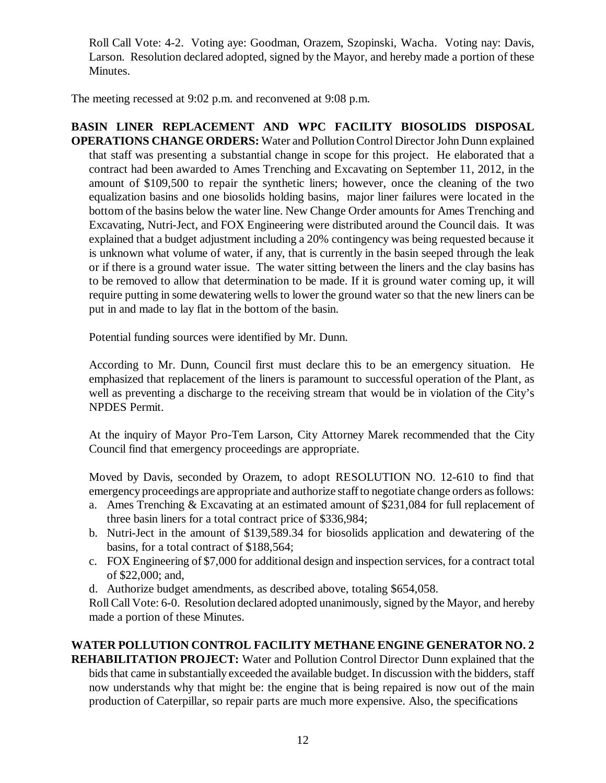Roll Call Vote: 4-2. Voting aye: Goodman, Orazem, Szopinski, Wacha. Voting nay: Davis, Larson. Resolution declared adopted, signed by the Mayor, and hereby made a portion of these Minutes.

The meeting recessed at 9:02 p.m. and reconvened at 9:08 p.m.

**BASIN LINER REPLACEMENT AND WPC FACILITY BIOSOLIDS DISPOSAL OPERATIONS CHANGE ORDERS:** Water and Pollution Control Director John Dunn explained that staff was presenting a substantial change in scope for this project. He elaborated that a contract had been awarded to Ames Trenching and Excavating on September 11, 2012, in the amount of \$109,500 to repair the synthetic liners; however, once the cleaning of the two equalization basins and one biosolids holding basins, major liner failures were located in the bottom of the basins below the water line. New Change Order amounts for Ames Trenching and Excavating, Nutri-Ject, and FOX Engineering were distributed around the Council dais. It was explained that a budget adjustment including a 20% contingency was being requested because it is unknown what volume of water, if any, that is currently in the basin seeped through the leak or if there is a ground water issue. The water sitting between the liners and the clay basins has to be removed to allow that determination to be made. If it is ground water coming up, it will require putting in some dewatering wells to lower the ground water so that the new liners can be put in and made to lay flat in the bottom of the basin.

Potential funding sources were identified by Mr. Dunn.

According to Mr. Dunn, Council first must declare this to be an emergency situation. He emphasized that replacement of the liners is paramount to successful operation of the Plant, as well as preventing a discharge to the receiving stream that would be in violation of the City's NPDES Permit.

At the inquiry of Mayor Pro-Tem Larson, City Attorney Marek recommended that the City Council find that emergency proceedings are appropriate.

Moved by Davis, seconded by Orazem, to adopt RESOLUTION NO. 12-610 to find that emergency proceedings are appropriate and authorize staff to negotiate change orders as follows:

- a. Ames Trenching & Excavating at an estimated amount of \$231,084 for full replacement of three basin liners for a total contract price of \$336,984;
- b. Nutri-Ject in the amount of \$139,589.34 for biosolids application and dewatering of the basins, for a total contract of \$188,564;
- c. FOX Engineering of \$7,000 for additional design and inspection services, for a contract total of \$22,000; and,
- d. Authorize budget amendments, as described above, totaling \$654,058.

Roll Call Vote: 6-0. Resolution declared adopted unanimously, signed by the Mayor, and hereby made a portion of these Minutes.

# **WATER POLLUTION CONTROL FACILITY METHANE ENGINE GENERATOR NO. 2**

**REHABILITATION PROJECT:** Water and Pollution Control Director Dunn explained that the bids that came in substantially exceeded the available budget. In discussion with the bidders, staff now understands why that might be: the engine that is being repaired is now out of the main production of Caterpillar, so repair parts are much more expensive. Also, the specifications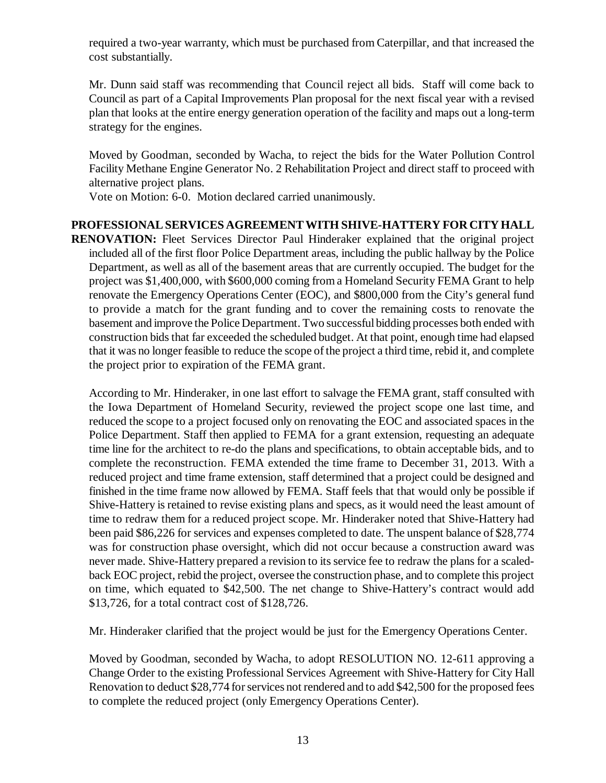required a two-year warranty, which must be purchased from Caterpillar, and that increased the cost substantially.

Mr. Dunn said staff was recommending that Council reject all bids. Staff will come back to Council as part of a Capital Improvements Plan proposal for the next fiscal year with a revised plan that looks at the entire energy generation operation of the facility and maps out a long-term strategy for the engines.

Moved by Goodman, seconded by Wacha, to reject the bids for the Water Pollution Control Facility Methane Engine Generator No. 2 Rehabilitation Project and direct staff to proceed with alternative project plans.

Vote on Motion: 6-0. Motion declared carried unanimously.

### **PROFESSIONAL SERVICES AGREEMENT WITH SHIVE-HATTERY FOR CITY HALL**

**RENOVATION:** Fleet Services Director Paul Hinderaker explained that the original project included all of the first floor Police Department areas, including the public hallway by the Police Department, as well as all of the basement areas that are currently occupied. The budget for the project was \$1,400,000, with \$600,000 coming from a Homeland Security FEMA Grant to help renovate the Emergency Operations Center (EOC), and \$800,000 from the City's general fund to provide a match for the grant funding and to cover the remaining costs to renovate the basement and improve the Police Department. Two successful bidding processes both ended with construction bids that far exceeded the scheduled budget. At that point, enough time had elapsed that it was no longer feasible to reduce the scope of the project a third time, rebid it, and complete the project prior to expiration of the FEMA grant.

According to Mr. Hinderaker, in one last effort to salvage the FEMA grant, staff consulted with the Iowa Department of Homeland Security, reviewed the project scope one last time, and reduced the scope to a project focused only on renovating the EOC and associated spaces in the Police Department. Staff then applied to FEMA for a grant extension, requesting an adequate time line for the architect to re-do the plans and specifications, to obtain acceptable bids, and to complete the reconstruction. FEMA extended the time frame to December 31, 2013. With a reduced project and time frame extension, staff determined that a project could be designed and finished in the time frame now allowed by FEMA. Staff feels that that would only be possible if Shive-Hattery is retained to revise existing plans and specs, as it would need the least amount of time to redraw them for a reduced project scope. Mr. Hinderaker noted that Shive-Hattery had been paid \$86,226 for services and expenses completed to date. The unspent balance of \$28,774 was for construction phase oversight, which did not occur because a construction award was never made. Shive-Hattery prepared a revision to its service fee to redraw the plans for a scaledback EOC project, rebid the project, oversee the construction phase, and to complete this project on time, which equated to \$42,500. The net change to Shive-Hattery's contract would add \$13,726, for a total contract cost of \$128,726.

Mr. Hinderaker clarified that the project would be just for the Emergency Operations Center.

Moved by Goodman, seconded by Wacha, to adopt RESOLUTION NO. 12-611 approving a Change Order to the existing Professional Services Agreement with Shive-Hattery for City Hall Renovation to deduct \$28,774 for services not rendered and to add \$42,500 for the proposed fees to complete the reduced project (only Emergency Operations Center).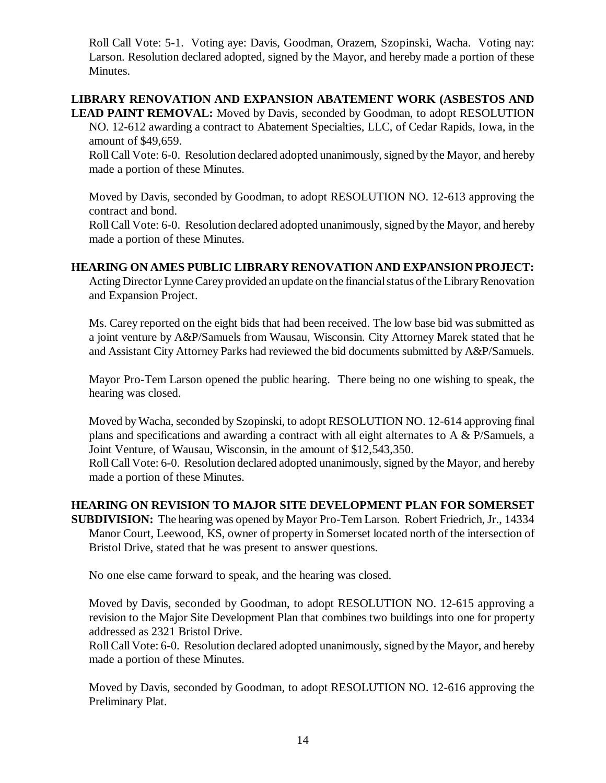Roll Call Vote: 5-1. Voting aye: Davis, Goodman, Orazem, Szopinski, Wacha. Voting nay: Larson. Resolution declared adopted, signed by the Mayor, and hereby made a portion of these Minutes.

### **LIBRARY RENOVATION AND EXPANSION ABATEMENT WORK (ASBESTOS AND**

**LEAD PAINT REMOVAL:** Moved by Davis, seconded by Goodman, to adopt RESOLUTION NO. 12-612 awarding a contract to Abatement Specialties, LLC, of Cedar Rapids, Iowa, in the amount of \$49,659.

Roll Call Vote: 6-0. Resolution declared adopted unanimously, signed by the Mayor, and hereby made a portion of these Minutes.

Moved by Davis, seconded by Goodman, to adopt RESOLUTION NO. 12-613 approving the contract and bond.

Roll Call Vote: 6-0. Resolution declared adopted unanimously, signed by the Mayor, and hereby made a portion of these Minutes.

#### **HEARING ON AMES PUBLIC LIBRARY RENOVATION AND EXPANSION PROJECT:**

Acting Director Lynne Carey provided an update on the financial status of the Library Renovation and Expansion Project.

Ms. Carey reported on the eight bids that had been received. The low base bid was submitted as a joint venture by A&P/Samuels from Wausau, Wisconsin. City Attorney Marek stated that he and Assistant City Attorney Parks had reviewed the bid documents submitted by A&P/Samuels.

Mayor Pro-Tem Larson opened the public hearing. There being no one wishing to speak, the hearing was closed.

Moved by Wacha, seconded by Szopinski, to adopt RESOLUTION NO. 12-614 approving final plans and specifications and awarding a contract with all eight alternates to A & P/Samuels, a Joint Venture, of Wausau, Wisconsin, in the amount of \$12,543,350.

Roll Call Vote: 6-0. Resolution declared adopted unanimously, signed by the Mayor, and hereby made a portion of these Minutes.

### **HEARING ON REVISION TO MAJOR SITE DEVELOPMENT PLAN FOR SOMERSET**

**SUBDIVISION:** The hearing was opened by Mayor Pro-Tem Larson. Robert Friedrich, Jr., 14334 Manor Court, Leewood, KS, owner of property in Somerset located north of the intersection of Bristol Drive, stated that he was present to answer questions.

No one else came forward to speak, and the hearing was closed.

Moved by Davis, seconded by Goodman, to adopt RESOLUTION NO. 12-615 approving a revision to the Major Site Development Plan that combines two buildings into one for property addressed as 2321 Bristol Drive.

Roll Call Vote: 6-0. Resolution declared adopted unanimously, signed by the Mayor, and hereby made a portion of these Minutes.

Moved by Davis, seconded by Goodman, to adopt RESOLUTION NO. 12-616 approving the Preliminary Plat.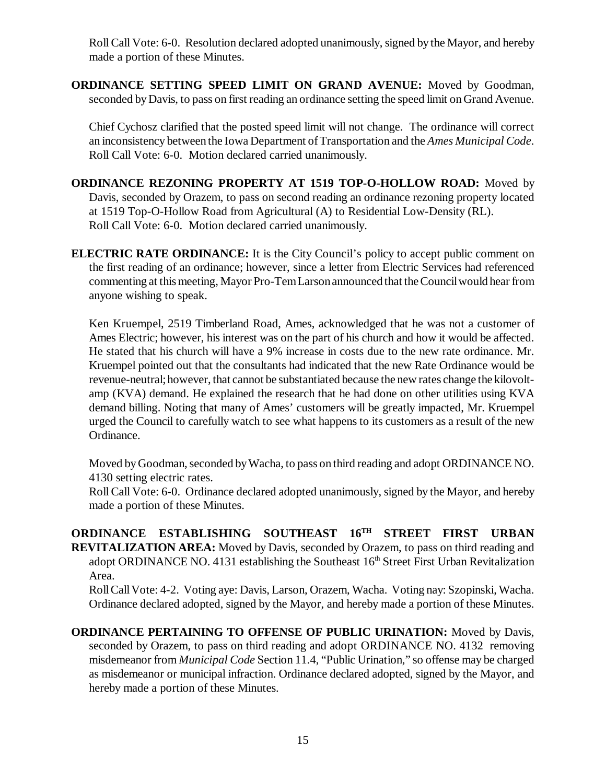Roll Call Vote: 6-0. Resolution declared adopted unanimously, signed by the Mayor, and hereby made a portion of these Minutes.

**ORDINANCE SETTING SPEED LIMIT ON GRAND AVENUE:** Moved by Goodman, seconded by Davis, to pass on first reading an ordinance setting the speed limit on Grand Avenue.

Chief Cychosz clarified that the posted speed limit will not change. The ordinance will correct an inconsistency between the Iowa Department of Transportation and the *Ames Municipal Code*. Roll Call Vote: 6-0. Motion declared carried unanimously.

**ORDINANCE REZONING PROPERTY AT 1519 TOP-O-HOLLOW ROAD:** Moved by Davis, seconded by Orazem, to pass on second reading an ordinance rezoning property located at 1519 Top-O-Hollow Road from Agricultural (A) to Residential Low-Density (RL). Roll Call Vote: 6-0. Motion declared carried unanimously.

**ELECTRIC RATE ORDINANCE:** It is the City Council's policy to accept public comment on the first reading of an ordinance; however, since a letter from Electric Services had referenced commenting at this meeting, Mayor Pro-Tem Larson announced that the Council would hear from anyone wishing to speak.

Ken Kruempel, 2519 Timberland Road, Ames, acknowledged that he was not a customer of Ames Electric; however, his interest was on the part of his church and how it would be affected. He stated that his church will have a 9% increase in costs due to the new rate ordinance. Mr. Kruempel pointed out that the consultants had indicated that the new Rate Ordinance would be revenue-neutral; however, that cannot be substantiated because the new rates change the kilovoltamp (KVA) demand. He explained the research that he had done on other utilities using KVA demand billing. Noting that many of Ames' customers will be greatly impacted, Mr. Kruempel urged the Council to carefully watch to see what happens to its customers as a result of the new Ordinance.

Moved by Goodman, seconded by Wacha, to pass on third reading and adopt ORDINANCE NO. 4130 setting electric rates.

Roll Call Vote: 6-0. Ordinance declared adopted unanimously, signed by the Mayor, and hereby made a portion of these Minutes.

**ORDINANCE ESTABLISHING SOUTHEAST 16TH STREET FIRST URBAN REVITALIZATION AREA:** Moved by Davis, seconded by Orazem, to pass on third reading and adopt ORDINANCE NO. 4131 establishing the Southeast  $16<sup>th</sup>$  Street First Urban Revitalization Area.

Roll Call Vote: 4-2. Voting aye: Davis, Larson, Orazem, Wacha. Voting nay: Szopinski, Wacha. Ordinance declared adopted, signed by the Mayor, and hereby made a portion of these Minutes.

**ORDINANCE PERTAINING TO OFFENSE OF PUBLIC URINATION:** Moved by Davis, seconded by Orazem, to pass on third reading and adopt ORDINANCE NO. 4132 removing misdemeanor from *Municipal Code* Section 11.4, "Public Urination," so offense may be charged as misdemeanor or municipal infraction. Ordinance declared adopted, signed by the Mayor, and hereby made a portion of these Minutes.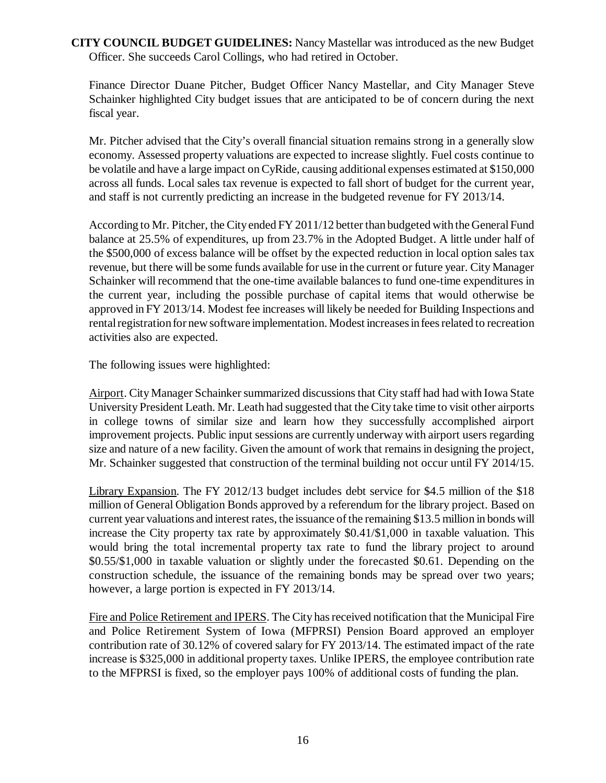**CITY COUNCIL BUDGET GUIDELINES:** Nancy Mastellar was introduced as the new Budget Officer. She succeeds Carol Collings, who had retired in October.

Finance Director Duane Pitcher, Budget Officer Nancy Mastellar, and City Manager Steve Schainker highlighted City budget issues that are anticipated to be of concern during the next fiscal year.

Mr. Pitcher advised that the City's overall financial situation remains strong in a generally slow economy. Assessed property valuations are expected to increase slightly. Fuel costs continue to be volatile and have a large impact on CyRide, causing additional expenses estimated at \$150,000 across all funds. Local sales tax revenue is expected to fall short of budget for the current year, and staff is not currently predicting an increase in the budgeted revenue for FY 2013/14.

According to Mr. Pitcher, the City ended FY 2011/12 better than budgeted with the General Fund balance at 25.5% of expenditures, up from 23.7% in the Adopted Budget. A little under half of the \$500,000 of excess balance will be offset by the expected reduction in local option sales tax revenue, but there will be some funds available for use in the current or future year. City Manager Schainker will recommend that the one-time available balances to fund one-time expenditures in the current year, including the possible purchase of capital items that would otherwise be approved in FY 2013/14. Modest fee increases will likely be needed for Building Inspections and rental registration for new software implementation. Modest increases in fees related to recreation activities also are expected.

The following issues were highlighted:

Airport. City Manager Schainker summarized discussions that City staff had had with Iowa State University President Leath. Mr. Leath had suggested that the City take time to visit other airports in college towns of similar size and learn how they successfully accomplished airport improvement projects. Public input sessions are currently underway with airport users regarding size and nature of a new facility. Given the amount of work that remains in designing the project, Mr. Schainker suggested that construction of the terminal building not occur until FY 2014/15.

Library Expansion. The FY 2012/13 budget includes debt service for \$4.5 million of the \$18 million of General Obligation Bonds approved by a referendum for the library project. Based on current year valuations and interest rates, the issuance of the remaining \$13.5 million in bonds will increase the City property tax rate by approximately \$0.41/\$1,000 in taxable valuation. This would bring the total incremental property tax rate to fund the library project to around \$0.55/\$1,000 in taxable valuation or slightly under the forecasted \$0.61. Depending on the construction schedule, the issuance of the remaining bonds may be spread over two years; however, a large portion is expected in FY 2013/14.

Fire and Police Retirement and IPERS. The City has received notification that the Municipal Fire and Police Retirement System of Iowa (MFPRSI) Pension Board approved an employer contribution rate of 30.12% of covered salary for FY 2013/14. The estimated impact of the rate increase is \$325,000 in additional property taxes. Unlike IPERS, the employee contribution rate to the MFPRSI is fixed, so the employer pays 100% of additional costs of funding the plan.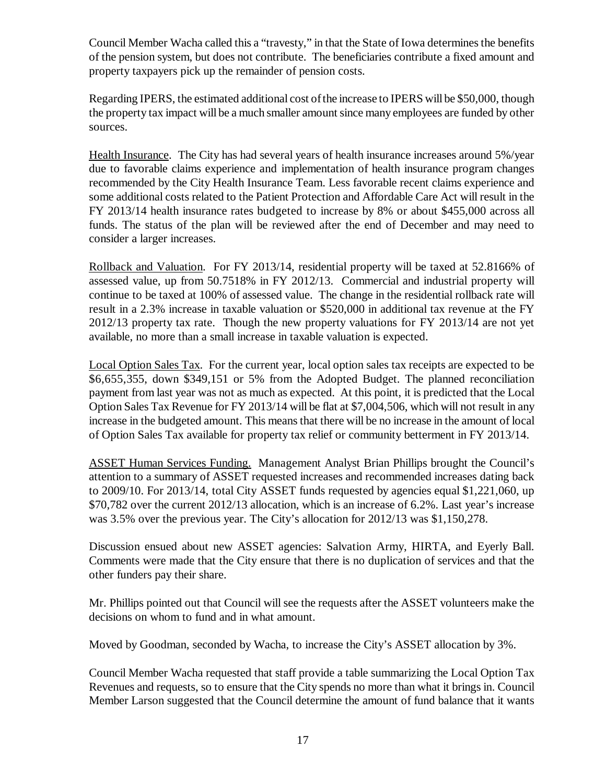Council Member Wacha called this a "travesty," in that the State of Iowa determines the benefits of the pension system, but does not contribute. The beneficiaries contribute a fixed amount and property taxpayers pick up the remainder of pension costs.

Regarding IPERS, the estimated additional cost of the increase to IPERS will be \$50,000, though the property tax impact will be a much smaller amount since many employees are funded by other sources.

Health Insurance. The City has had several years of health insurance increases around 5%/year due to favorable claims experience and implementation of health insurance program changes recommended by the City Health Insurance Team. Less favorable recent claims experience and some additional costs related to the Patient Protection and Affordable Care Act will result in the FY 2013/14 health insurance rates budgeted to increase by 8% or about \$455,000 across all funds. The status of the plan will be reviewed after the end of December and may need to consider a larger increases.

Rollback and Valuation. For FY 2013/14, residential property will be taxed at 52.8166% of assessed value, up from 50.7518% in FY 2012/13. Commercial and industrial property will continue to be taxed at 100% of assessed value. The change in the residential rollback rate will result in a 2.3% increase in taxable valuation or \$520,000 in additional tax revenue at the FY 2012/13 property tax rate. Though the new property valuations for FY 2013/14 are not yet available, no more than a small increase in taxable valuation is expected.

Local Option Sales Tax. For the current year, local option sales tax receipts are expected to be \$6,655,355, down \$349,151 or 5% from the Adopted Budget. The planned reconciliation payment from last year was not as much as expected. At this point, it is predicted that the Local Option Sales Tax Revenue for FY 2013/14 will be flat at \$7,004,506, which will not result in any increase in the budgeted amount. This means that there will be no increase in the amount of local of Option Sales Tax available for property tax relief or community betterment in FY 2013/14.

ASSET Human Services Funding. Management Analyst Brian Phillips brought the Council's attention to a summary of ASSET requested increases and recommended increases dating back to 2009/10. For 2013/14, total City ASSET funds requested by agencies equal \$1,221,060, up \$70,782 over the current 2012/13 allocation, which is an increase of 6.2%. Last year's increase was 3.5% over the previous year. The City's allocation for 2012/13 was \$1,150,278.

Discussion ensued about new ASSET agencies: Salvation Army, HIRTA, and Eyerly Ball. Comments were made that the City ensure that there is no duplication of services and that the other funders pay their share.

Mr. Phillips pointed out that Council will see the requests after the ASSET volunteers make the decisions on whom to fund and in what amount.

Moved by Goodman, seconded by Wacha, to increase the City's ASSET allocation by 3%.

Council Member Wacha requested that staff provide a table summarizing the Local Option Tax Revenues and requests, so to ensure that the City spends no more than what it brings in. Council Member Larson suggested that the Council determine the amount of fund balance that it wants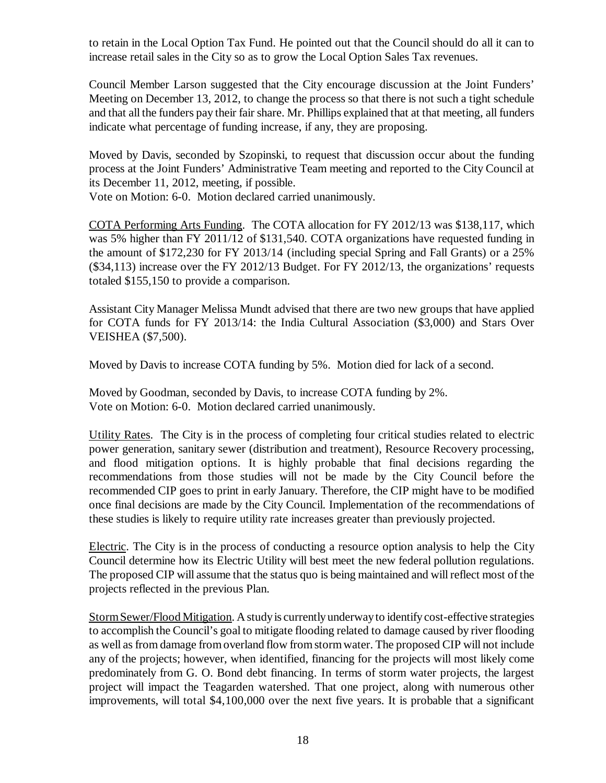to retain in the Local Option Tax Fund. He pointed out that the Council should do all it can to increase retail sales in the City so as to grow the Local Option Sales Tax revenues.

Council Member Larson suggested that the City encourage discussion at the Joint Funders' Meeting on December 13, 2012, to change the process so that there is not such a tight schedule and that all the funders pay their fair share. Mr. Phillips explained that at that meeting, all funders indicate what percentage of funding increase, if any, they are proposing.

Moved by Davis, seconded by Szopinski, to request that discussion occur about the funding process at the Joint Funders' Administrative Team meeting and reported to the City Council at its December 11, 2012, meeting, if possible.

Vote on Motion: 6-0. Motion declared carried unanimously.

COTA Performing Arts Funding. The COTA allocation for FY 2012/13 was \$138,117, which was 5% higher than FY 2011/12 of \$131,540. COTA organizations have requested funding in the amount of \$172,230 for FY 2013/14 (including special Spring and Fall Grants) or a 25% (\$34,113) increase over the FY 2012/13 Budget. For FY 2012/13, the organizations' requests totaled \$155,150 to provide a comparison.

Assistant City Manager Melissa Mundt advised that there are two new groups that have applied for COTA funds for FY 2013/14: the India Cultural Association (\$3,000) and Stars Over VEISHEA (\$7,500).

Moved by Davis to increase COTA funding by 5%. Motion died for lack of a second.

Moved by Goodman, seconded by Davis, to increase COTA funding by 2%. Vote on Motion: 6-0. Motion declared carried unanimously.

Utility Rates. The City is in the process of completing four critical studies related to electric power generation, sanitary sewer (distribution and treatment), Resource Recovery processing, and flood mitigation options. It is highly probable that final decisions regarding the recommendations from those studies will not be made by the City Council before the recommended CIP goes to print in early January. Therefore, the CIP might have to be modified once final decisions are made by the City Council. Implementation of the recommendations of these studies is likely to require utility rate increases greater than previously projected.

Electric. The City is in the process of conducting a resource option analysis to help the City Council determine how its Electric Utility will best meet the new federal pollution regulations. The proposed CIP will assume that the status quo is being maintained and will reflect most of the projects reflected in the previous Plan.

Storm Sewer/Flood Mitigation. A study is currently underway to identify cost-effective strategies to accomplish the Council's goal to mitigate flooding related to damage caused by river flooding as well as from damage from overland flow from storm water. The proposed CIP will not include any of the projects; however, when identified, financing for the projects will most likely come predominately from G. O. Bond debt financing. In terms of storm water projects, the largest project will impact the Teagarden watershed. That one project, along with numerous other improvements, will total \$4,100,000 over the next five years. It is probable that a significant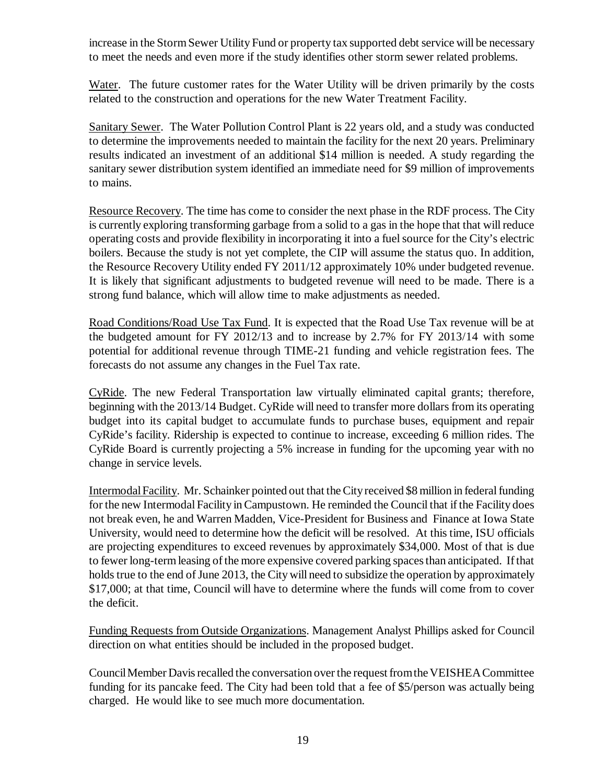increase in the Storm Sewer Utility Fund or property tax supported debt service will be necessary to meet the needs and even more if the study identifies other storm sewer related problems.

Water. The future customer rates for the Water Utility will be driven primarily by the costs related to the construction and operations for the new Water Treatment Facility.

Sanitary Sewer. The Water Pollution Control Plant is 22 years old, and a study was conducted to determine the improvements needed to maintain the facility for the next 20 years. Preliminary results indicated an investment of an additional \$14 million is needed. A study regarding the sanitary sewer distribution system identified an immediate need for \$9 million of improvements to mains.

Resource Recovery. The time has come to consider the next phase in the RDF process. The City is currently exploring transforming garbage from a solid to a gas in the hope that that will reduce operating costs and provide flexibility in incorporating it into a fuel source for the City's electric boilers. Because the study is not yet complete, the CIP will assume the status quo. In addition, the Resource Recovery Utility ended FY 2011/12 approximately 10% under budgeted revenue. It is likely that significant adjustments to budgeted revenue will need to be made. There is a strong fund balance, which will allow time to make adjustments as needed.

Road Conditions/Road Use Tax Fund. It is expected that the Road Use Tax revenue will be at the budgeted amount for FY 2012/13 and to increase by 2.7% for FY 2013/14 with some potential for additional revenue through TIME-21 funding and vehicle registration fees. The forecasts do not assume any changes in the Fuel Tax rate.

CyRide. The new Federal Transportation law virtually eliminated capital grants; therefore, beginning with the 2013/14 Budget. CyRide will need to transfer more dollars from its operating budget into its capital budget to accumulate funds to purchase buses, equipment and repair CyRide's facility. Ridership is expected to continue to increase, exceeding 6 million rides. The CyRide Board is currently projecting a 5% increase in funding for the upcoming year with no change in service levels.

Intermodal Facility. Mr. Schainker pointed out that the City received \$8 million in federal funding for the new Intermodal Facility in Campustown. He reminded the Council that if the Facility does not break even, he and Warren Madden, Vice-President for Business and Finance at Iowa State University, would need to determine how the deficit will be resolved. At this time, ISU officials are projecting expenditures to exceed revenues by approximately \$34,000. Most of that is due to fewer long-term leasing of the more expensive covered parking spaces than anticipated. If that holds true to the end of June 2013, the City will need to subsidize the operation by approximately \$17,000; at that time, Council will have to determine where the funds will come from to cover the deficit.

Funding Requests from Outside Organizations. Management Analyst Phillips asked for Council direction on what entities should be included in the proposed budget.

Council Member Davis recalled the conversation over the request from the VEISHEA Committee funding for its pancake feed. The City had been told that a fee of \$5/person was actually being charged. He would like to see much more documentation.